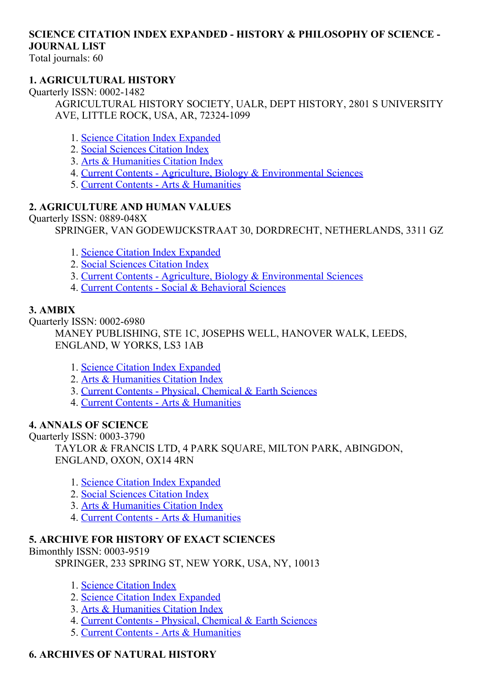# SCIENCE CITATION INDEX EXPANDED - HISTORY & PHILOSOPHY OF SCIENCE -JOURNAL LIST

Total journals: 60

## 1. AGRICULTURAL HISTORY

Quarterly ISSN: 0002-1482

AGRICULTURAL HISTORY SOCIETY, UALR, DEPT HISTORY, 2801 S UNIVERSITY AVE, LITTLE ROCK, USA, AR, 72324-1099

- 1. Science Citation Index [Expanded](http://thomsonreuters.com/science-citation-index-expanded)
- 2. Social [Sciences](http://thomsonreuters.com/social-sciences-citation-index) Citation Index
- 3. Arts & [Humanities](http://thomsonreuters.com/arts-humanities-citation-index) Citation Index
- 4. Current Contents Agriculture, Biology & [Environmental](http://thomsonreuters.com/current-contents-connect/) Sciences
- 5. Current Contents Arts & [Humanities](http://thomsonreuters.com/current-contents-connect)

### 2. AGRICULTURE AND HUMAN VALUES

Ouarterly ISSN: 0889-048X

SPRINGER, VAN GODEWIJCKSTRAAT 30, DORDRECHT, NETHERLANDS, 3311 GZ

- 1. Science Citation Index [Expanded](http://thomsonreuters.com/science-citation-index-expanded)
- 2. Social [Sciences](http://thomsonreuters.com/social-sciences-citation-index) Citation Index
- 3. Current Contents Agriculture, Biology & [Environmental](http://thomsonreuters.com/current-contents-connect/) Sciences
- 4. Current Contents Social & [Behavioral](http://thomsonreuters.com/current-contents-connect/) Sciences

## 3. AMBIX

Quarterly ISSN: 0002-6980

MANEY PUBLISHING, STE 1C, JOSEPHS WELL, HANOVER WALK, LEEDS, ENGLAND, W YORKS, LS3 1AB

- 1. Science Citation Index [Expanded](http://thomsonreuters.com/science-citation-index-expanded)
- 2. Arts & [Humanities](http://thomsonreuters.com/arts-humanities-citation-index) Citation Index
- 3. Current Contents Physical, [Chemical](http://thomsonreuters.com/current-contents-connect) & Earth Sciences
- 4. Current Contents Arts & [Humanities](http://thomsonreuters.com/current-contents-connect)

## 4. ANNALS OF SCIENCE

Quarterly ISSN: 0003-3790

TAYLOR & FRANCIS LTD, 4 PARK SQUARE, MILTON PARK, ABINGDON, ENGLAND, OXON, OX14 4RN

- 1. Science Citation Index [Expanded](http://thomsonreuters.com/science-citation-index-expanded)
- 2. Social [Sciences](http://thomsonreuters.com/social-sciences-citation-index) Citation Index
- 3. Arts & [Humanities](http://thomsonreuters.com/arts-humanities-citation-index) Citation Index
- 4. Current Contents Arts & [Humanities](http://thomsonreuters.com/current-contents-connect)

## 5. ARCHIVE FOR HISTORY OF EXACT SCIENCES

Bimonthly ISSN: 0003-9519

SPRINGER, 233 SPRING ST, NEW YORK, USA, NY, 10013

- 1. Science [Citation](http://thomsonreuters.com/science-citation-index-expanded) Index
- 2. Science Citation Index [Expanded](http://thomsonreuters.com/science-citation-index-expanded)
- 3. Arts & [Humanities](http://thomsonreuters.com/arts-humanities-citation-index) Citation Index
- 4. Current Contents Physical, [Chemical](http://thomsonreuters.com/current-contents-connect) & Earth Sciences
- 5. Current Contents Arts & [Humanities](http://thomsonreuters.com/current-contents-connect)

## 6. ARCHIVES OF NATURAL HISTORY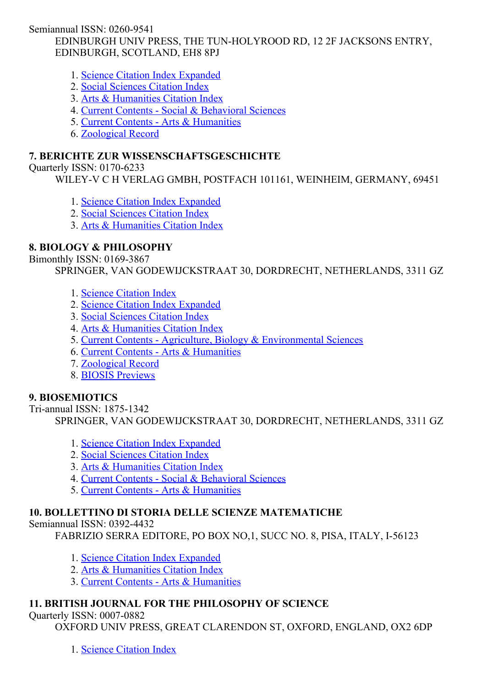Semiannual ISSN: 0260-9541

EDINBURGH UNIV PRESS, THE TUN-HOLYROOD RD, 12 2F JACKSONS ENTRY, EDINBURGH, SCOTLAND, EH8 8PJ

- 1. Science Citation Index [Expanded](http://thomsonreuters.com/science-citation-index-expanded)
- 2. Social [Sciences](http://thomsonreuters.com/social-sciences-citation-index) Citation Index
- 3. Arts & [Humanities](http://thomsonreuters.com/arts-humanities-citation-index) Citation Index
- 4. Current Contents Social & [Behavioral](http://thomsonreuters.com/current-contents-connect/) Sciences
- 5. Current Contents Arts & [Humanities](http://thomsonreuters.com/current-contents-connect)
- 6. [Zoological](http://thomsonreuters.com/zoological-record) Record

## 7. BERICHTE ZUR WISSENSCHAFTSGESCHICHTE

Quarterly ISSN: 0170-6233

WILEY-V C H VERLAG GMBH, POSTFACH 101161, WEINHEIM, GERMANY, 69451

- 1. Science Citation Index [Expanded](http://thomsonreuters.com/science-citation-index-expanded)
- 2. Social [Sciences](http://thomsonreuters.com/social-sciences-citation-index) Citation Index
- 3. Arts & [Humanities](http://thomsonreuters.com/arts-humanities-citation-index) Citation Index

## 8. BIOLOGY & PHILOSOPHY

Bimonthly ISSN: 0169-3867

SPRINGER, VAN GODEWIJCKSTRAAT 30, DORDRECHT, NETHERLANDS, 3311 GZ

- 1. Science [Citation](http://thomsonreuters.com/science-citation-index-expanded) Index
- 2. Science Citation Index [Expanded](http://thomsonreuters.com/science-citation-index-expanded)
- 3. Social [Sciences](http://thomsonreuters.com/social-sciences-citation-index) Citation Index
- 4. Arts & [Humanities](http://thomsonreuters.com/arts-humanities-citation-index) Citation Index
- 5. Current Contents Agriculture, Biology & [Environmental](http://thomsonreuters.com/current-contents-connect/) Sciences
- 6. Current Contents Arts & [Humanities](http://thomsonreuters.com/current-contents-connect)
- 7. [Zoological](http://thomsonreuters.com/zoological-record) Record
- 8. BIOSIS [Previews](http://thomsonreuters.com/biosis-previews)

## 9. BIOSEMIOTICS

Tri-annual ISSN: 1875-1342 SPRINGER, VAN GODEWIJCKSTRAAT 30, DORDRECHT, NETHERLANDS, 3311 GZ

- 1. Science Citation Index [Expanded](http://thomsonreuters.com/science-citation-index-expanded)
- 2. Social [Sciences](http://thomsonreuters.com/social-sciences-citation-index) Citation Index
- 3. Arts & [Humanities](http://thomsonreuters.com/arts-humanities-citation-index) Citation Index
- 4. Current Contents Social & [Behavioral](http://thomsonreuters.com/current-contents-connect/) Sciences
- 5. Current Contents Arts & [Humanities](http://thomsonreuters.com/current-contents-connect)

# 10. BOLLETTINO DI STORIA DELLE SCIENZE MATEMATICHE

Semiannual ISSN: 0392-4432

FABRIZIO SERRA EDITORE, PO BOX NO, 1, SUCC NO. 8, PISA, ITALY, I-56123

- 1. Science Citation Index [Expanded](http://thomsonreuters.com/science-citation-index-expanded)
- 2. Arts & [Humanities](http://thomsonreuters.com/arts-humanities-citation-index) Citation Index
- 3. Current Contents Arts & [Humanities](http://thomsonreuters.com/current-contents-connect)

# 11. BRITISH JOURNAL FOR THE PHILOSOPHY OF SCIENCE

Ouarterly ISSN: 0007-0882

OXFORD UNIV PRESS, GREAT CLARENDON ST, OXFORD, ENGLAND, OX2 6DP

1. Science [Citation](http://thomsonreuters.com/science-citation-index-expanded) Index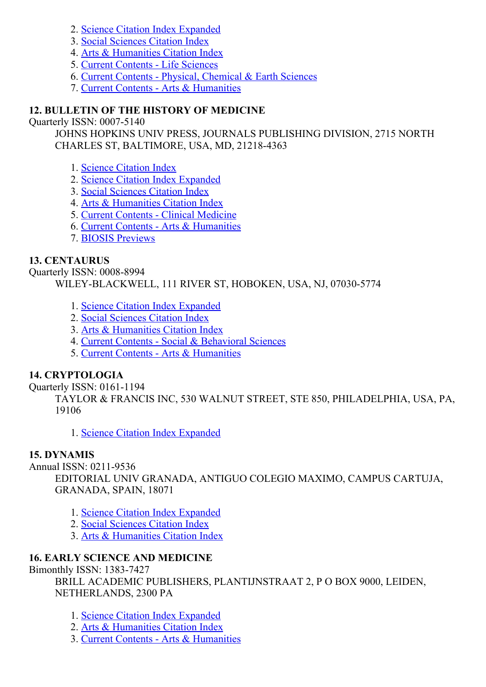- 2. Science Citation Index [Expanded](http://thomsonreuters.com/science-citation-index-expanded)
- 3. Social [Sciences](http://thomsonreuters.com/social-sciences-citation-index) Citation Index
- 4. Arts & [Humanities](http://thomsonreuters.com/arts-humanities-citation-index) Citation Index
- 5. Current [Contents](http://thomsonreuters.com/current-contents-connect) Life Sciences
- 6. Current Contents Physical, [Chemical](http://thomsonreuters.com/current-contents-connect) & Earth Sciences
- 7. Current Contents Arts & [Humanities](http://thomsonreuters.com/current-contents-connect)

## 12. BULLETIN OF THE HISTORY OF MEDICINE

Ouarterly ISSN: 0007-5140

JOHNS HOPKINS UNIV PRESS, JOURNALS PUBLISHING DIVISION, 2715 NORTH CHARLES ST, BALTIMORE, USA, MD, 21218-4363

- 1. Science [Citation](http://thomsonreuters.com/science-citation-index-expanded) Index
- 2. Science Citation Index [Expanded](http://thomsonreuters.com/science-citation-index-expanded)
- 3. Social [Sciences](http://thomsonreuters.com/social-sciences-citation-index) Citation Index
- 4. Arts & [Humanities](http://thomsonreuters.com/arts-humanities-citation-index) Citation Index
- 5. Current Contents Clinical [Medicine](http://thomsonreuters.com/current-contents-connect)
- 6. Current Contents Arts & [Humanities](http://thomsonreuters.com/current-contents-connect)
- 7. BIOSIS [Previews](http://thomsonreuters.com/biosis-previews)

### 13. CENTAURUS

Quarterly ISSN: 0008-8994 WILEY-BLACKWELL, 111 RIVER ST, HOBOKEN, USA, NJ, 07030-5774

- 1. Science Citation Index [Expanded](http://thomsonreuters.com/science-citation-index-expanded)
- 2. Social [Sciences](http://thomsonreuters.com/social-sciences-citation-index) Citation Index
- 3. Arts & [Humanities](http://thomsonreuters.com/arts-humanities-citation-index) Citation Index
- 4. Current Contents Social & [Behavioral](http://thomsonreuters.com/current-contents-connect/) Sciences
- 5. Current Contents Arts & [Humanities](http://thomsonreuters.com/current-contents-connect)

## 14. CRYPTOLOGIA

Quarterly ISSN: 0161-1194

TAYLOR & FRANCIS INC, 530 WALNUT STREET, STE 850, PHILADELPHIA, USA, PA, 19106

1. Science Citation Index [Expanded](http://thomsonreuters.com/science-citation-index-expanded)

## 15. DYNAMIS

Annual ISSN: 0211-9536

EDITORIAL UNIV GRANADA, ANTIGUO COLEGIO MAXIMO, CAMPUS CARTUJA, GRANADA, SPAIN, 18071

- 1. Science Citation Index [Expanded](http://thomsonreuters.com/science-citation-index-expanded)
- 2. Social [Sciences](http://thomsonreuters.com/social-sciences-citation-index) Citation Index
- 3. Arts & [Humanities](http://thomsonreuters.com/arts-humanities-citation-index) Citation Index

## 16. EARLY SCIENCE AND MEDICINE

Bimonthly ISSN: 1383-7427

BRILL ACADEMIC PUBLISHERS, PLANTIJNSTRAAT 2, P O BOX 9000, LEIDEN, NETHERLANDS, 2300 PA

- 1. Science Citation Index [Expanded](http://thomsonreuters.com/science-citation-index-expanded)
- 2. Arts & [Humanities](http://thomsonreuters.com/arts-humanities-citation-index) Citation Index
- 3. Current Contents Arts & [Humanities](http://thomsonreuters.com/current-contents-connect)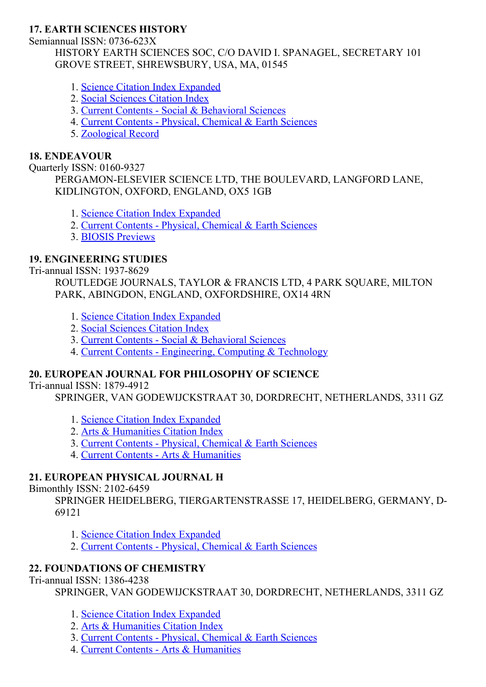## 17. EARTH SCIENCES HISTORY

Semiannual ISSN: 0736-623X

HISTORY EARTH SCIENCES SOC, C/O DAVID I. SPANAGEL, SECRETARY 101 GROVE STREET, SHREWSBURY, USA, MA, 01545

- 1. Science Citation Index [Expanded](http://thomsonreuters.com/science-citation-index-expanded)
- 2. Social [Sciences](http://thomsonreuters.com/social-sciences-citation-index) Citation Index
- 3. Current Contents Social & [Behavioral](http://thomsonreuters.com/current-contents-connect/) Sciences
- 4. Current Contents Physical, [Chemical](http://thomsonreuters.com/current-contents-connect) & Earth Sciences
- 5. [Zoological](http://thomsonreuters.com/zoological-record) Record

#### 18. ENDEAVOUR

Quarterly ISSN: 0160-9327

PERGAMON-ELSEVIER SCIENCE LTD, THE BOULEVARD, LANGFORD LANE, KIDLINGTON, OXFORD, ENGLAND, OX5 1GB

- 1. Science Citation Index [Expanded](http://thomsonreuters.com/science-citation-index-expanded)
- 2. Current Contents Physical, [Chemical](http://thomsonreuters.com/current-contents-connect) & Earth Sciences
- 3. BIOSIS [Previews](http://thomsonreuters.com/biosis-previews)

## 19. ENGINEERING STUDIES

Tri-annual ISSN: 1937-8629

ROUTLEDGE JOURNALS, TAYLOR & FRANCIS LTD, 4 PARK SQUARE, MILTON PARK, ABINGDON, ENGLAND, OXFORDSHIRE, OX14 4RN

- 1. Science Citation Index [Expanded](http://thomsonreuters.com/science-citation-index-expanded)
- 2. Social [Sciences](http://thomsonreuters.com/social-sciences-citation-index) Citation Index
- 3. Current Contents Social & [Behavioral](http://thomsonreuters.com/current-contents-connect/) Sciences
- 4. Current Contents [Engineering,](http://thomsonreuters.com/current-contents-connect) Computing & Technology

## 20. EUROPEAN JOURNAL FOR PHILOSOPHY OF SCIENCE

Tri-annual ISSN: 1879-4912

SPRINGER, VAN GODEWIJCKSTRAAT 30, DORDRECHT, NETHERLANDS, 3311 GZ

- 1. Science Citation Index [Expanded](http://thomsonreuters.com/science-citation-index-expanded)
- 2. Arts & [Humanities](http://thomsonreuters.com/arts-humanities-citation-index) Citation Index
- 3. Current Contents Physical, [Chemical](http://thomsonreuters.com/current-contents-connect) & Earth Sciences
- 4. Current Contents Arts & [Humanities](http://thomsonreuters.com/current-contents-connect)

## 21. EUROPEAN PHYSICAL JOURNAL H

#### Bimonthly ISSN: 2102-6459

SPRINGER HEIDELBERG, TIERGARTENSTRASSE 17, HEIDELBERG, GERMANY, D-69121

- 1. Science Citation Index [Expanded](http://thomsonreuters.com/science-citation-index-expanded)
- 2. Current Contents Physical, [Chemical](http://thomsonreuters.com/current-contents-connect) & Earth Sciences

## 22. FOUNDATIONS OF CHEMISTRY

Tri-annual ISSN: 1386-4238

SPRINGER, VAN GODEWIJCKSTRAAT 30, DORDRECHT, NETHERLANDS, 3311 GZ

- 1. Science Citation Index [Expanded](http://thomsonreuters.com/science-citation-index-expanded)
- 2. Arts & [Humanities](http://thomsonreuters.com/arts-humanities-citation-index) Citation Index
- 3. Current Contents Physical, [Chemical](http://thomsonreuters.com/current-contents-connect) & Earth Sciences
- 4. Current Contents Arts & [Humanities](http://thomsonreuters.com/current-contents-connect)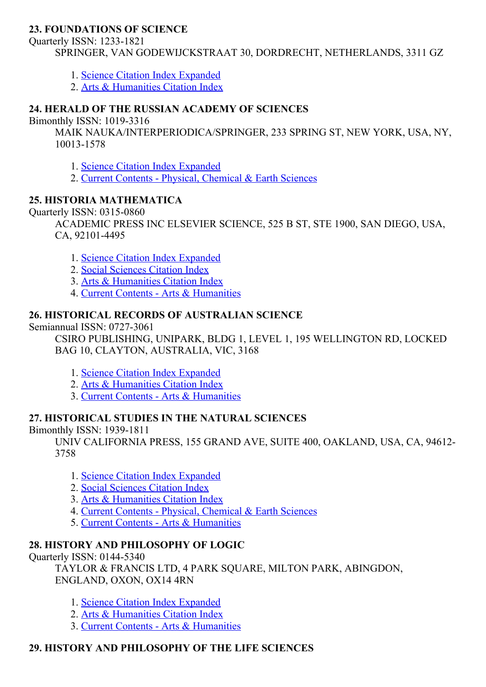### 23. FOUNDATIONS OF SCIENCE

Quarterly ISSN: 1233-1821

SPRINGER, VAN GODEWIJCKSTRAAT 30, DORDRECHT, NETHERLANDS, 3311 GZ

- 1. Science Citation Index [Expanded](http://thomsonreuters.com/science-citation-index-expanded)
- 2. Arts & [Humanities](http://thomsonreuters.com/arts-humanities-citation-index) Citation Index

### 24. HERALD OF THE RUSSIAN ACADEMY OF SCIENCES

Bimonthly ISSN: 10193316

MAIK NAUKA/INTERPERIODICA/SPRINGER, 233 SPRING ST, NEW YORK, USA, NY, 10013-1578

- 1. Science Citation Index [Expanded](http://thomsonreuters.com/science-citation-index-expanded)
- 2. Current Contents Physical, [Chemical](http://thomsonreuters.com/current-contents-connect) & Earth Sciences

## 25. HISTORIA MATHEMATICA

Quarterly ISSN: 0315-0860

ACADEMIC PRESS INC ELSEVIER SCIENCE, 525 B ST, STE 1900, SAN DIEGO, USA, CA, 92101-4495

- 1. Science Citation Index [Expanded](http://thomsonreuters.com/science-citation-index-expanded)
- 2. Social [Sciences](http://thomsonreuters.com/social-sciences-citation-index) Citation Index
- 3. Arts & [Humanities](http://thomsonreuters.com/arts-humanities-citation-index) Citation Index
- 4. Current Contents Arts & [Humanities](http://thomsonreuters.com/current-contents-connect)

## 26. HISTORICAL RECORDS OF AUSTRALIAN SCIENCE

Semiannual ISSN: 0727-3061

CSIRO PUBLISHING, UNIPARK, BLDG 1, LEVEL 1, 195 WELLINGTON RD, LOCKED BAG 10, CLAYTON, AUSTRALIA, VIC, 3168

- 1. Science Citation Index [Expanded](http://thomsonreuters.com/science-citation-index-expanded)
- 2. Arts & [Humanities](http://thomsonreuters.com/arts-humanities-citation-index) Citation Index
- 3. Current Contents Arts & [Humanities](http://thomsonreuters.com/current-contents-connect)

## 27. HISTORICAL STUDIES IN THE NATURAL SCIENCES

Bimonthly ISSN: 1939-1811

UNIV CALIFORNIA PRESS, 155 GRAND AVE, SUITE 400, OAKLAND, USA, CA, 94612 3758

- 1. Science Citation Index [Expanded](http://thomsonreuters.com/science-citation-index-expanded)
- 2. Social [Sciences](http://thomsonreuters.com/social-sciences-citation-index) Citation Index
- 3. Arts & [Humanities](http://thomsonreuters.com/arts-humanities-citation-index) Citation Index
- 4. Current Contents Physical, [Chemical](http://thomsonreuters.com/current-contents-connect) & Earth Sciences
- 5. Current Contents Arts & [Humanities](http://thomsonreuters.com/current-contents-connect)

## 28. HISTORY AND PHILOSOPHY OF LOGIC

Quarterly ISSN: 01445340

TAYLOR & FRANCIS LTD, 4 PARK SQUARE, MILTON PARK, ABINGDON, ENGLAND, OXON, OX14 4RN

- 1. Science Citation Index [Expanded](http://thomsonreuters.com/science-citation-index-expanded)
- 2. Arts & [Humanities](http://thomsonreuters.com/arts-humanities-citation-index) Citation Index
- 3. Current Contents Arts & [Humanities](http://thomsonreuters.com/current-contents-connect)

## 29. HISTORY AND PHILOSOPHY OF THE LIFE SCIENCES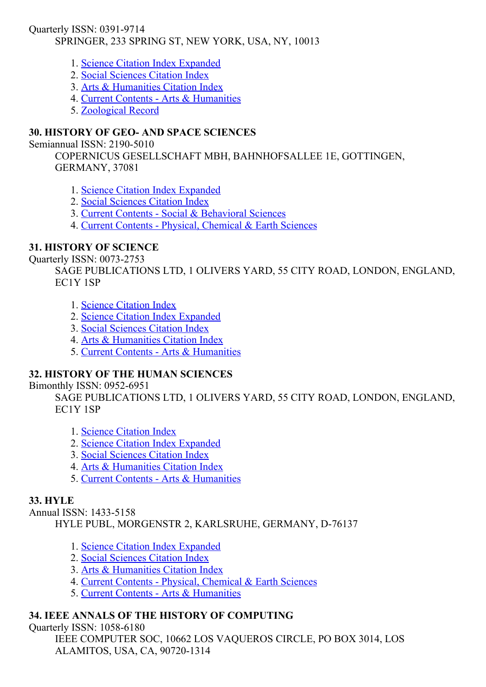Quarterly ISSN: 0391-9714

## SPRINGER, 233 SPRING ST, NEW YORK, USA, NY, 10013

- 1. Science Citation Index [Expanded](http://thomsonreuters.com/science-citation-index-expanded)
- 2. Social [Sciences](http://thomsonreuters.com/social-sciences-citation-index) Citation Index
- 3. Arts & [Humanities](http://thomsonreuters.com/arts-humanities-citation-index) Citation Index
- 4. Current Contents Arts & [Humanities](http://thomsonreuters.com/current-contents-connect)
- 5. [Zoological](http://thomsonreuters.com/zoological-record) Record

## 30. HISTORY OF GEO AND SPACE SCIENCES

#### Semiannual ISSN: 2190-5010

COPERNICUS GESELLSCHAFT MBH, BAHNHOFSALLEE 1E, GOTTINGEN, GERMANY, 37081

- 1. Science Citation Index [Expanded](http://thomsonreuters.com/science-citation-index-expanded)
- 2. Social [Sciences](http://thomsonreuters.com/social-sciences-citation-index) Citation Index
- 3. Current Contents Social & [Behavioral](http://thomsonreuters.com/current-contents-connect/) Sciences
- 4. Current Contents Physical, [Chemical](http://thomsonreuters.com/current-contents-connect) & Earth Sciences

### 31. HISTORY OF SCIENCE

#### Quarterly ISSN: 0073-2753

SAGE PUBLICATIONS LTD, 1 OLIVERS YARD, 55 CITY ROAD, LONDON, ENGLAND, EC1Y 1SP

- 1. Science [Citation](http://thomsonreuters.com/science-citation-index-expanded) Index
- 2. Science Citation Index [Expanded](http://thomsonreuters.com/science-citation-index-expanded)
- 3. Social [Sciences](http://thomsonreuters.com/social-sciences-citation-index) Citation Index
- 4. Arts & [Humanities](http://thomsonreuters.com/arts-humanities-citation-index) Citation Index
- 5. Current Contents Arts & [Humanities](http://thomsonreuters.com/current-contents-connect)

## 32. HISTORY OF THE HUMAN SCIENCES

#### Bimonthly ISSN: 0952-6951

SAGE PUBLICATIONS LTD, 1 OLIVERS YARD, 55 CITY ROAD, LONDON, ENGLAND, EC1Y 1SP

- 1. Science [Citation](http://thomsonreuters.com/science-citation-index-expanded) Index
- 2. Science Citation Index [Expanded](http://thomsonreuters.com/science-citation-index-expanded)
- 3. Social [Sciences](http://thomsonreuters.com/social-sciences-citation-index) Citation Index
- 4. Arts & [Humanities](http://thomsonreuters.com/arts-humanities-citation-index) Citation Index
- 5. Current Contents Arts & [Humanities](http://thomsonreuters.com/current-contents-connect)

## 33. HYLE

Annual ISSN: 1433-5158

HYLE PUBL, MORGENSTR 2, KARLSRUHE, GERMANY, D-76137

- 1. Science Citation Index [Expanded](http://thomsonreuters.com/science-citation-index-expanded)
- 2. Social [Sciences](http://thomsonreuters.com/social-sciences-citation-index) Citation Index
- 3. Arts & [Humanities](http://thomsonreuters.com/arts-humanities-citation-index) Citation Index
- 4. Current Contents Physical, [Chemical](http://thomsonreuters.com/current-contents-connect) & Earth Sciences
- 5. Current Contents Arts & [Humanities](http://thomsonreuters.com/current-contents-connect)

## 34. IEEE ANNALS OF THE HISTORY OF COMPUTING

#### Quarterly ISSN: 1058-6180

IEEE COMPUTER SOC, 10662 LOS VAQUEROS CIRCLE, PO BOX 3014, LOS ALAMITOS, USA, CA, 90720-1314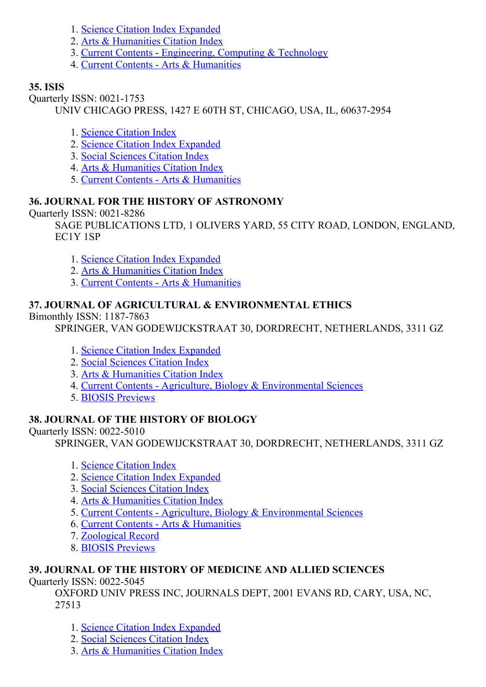- 1. Science Citation Index [Expanded](http://thomsonreuters.com/science-citation-index-expanded)
- 2. Arts & [Humanities](http://thomsonreuters.com/arts-humanities-citation-index) Citation Index
- 3. Current Contents [Engineering,](http://thomsonreuters.com/current-contents-connect) Computing & Technology
- 4. Current Contents Arts & [Humanities](http://thomsonreuters.com/current-contents-connect)

## 35. ISIS

Quarterly ISSN: 0021-1753

UNIV CHICAGO PRESS, 1427 E 60TH ST, CHICAGO, USA, IL, 60637-2954

- 1. Science [Citation](http://thomsonreuters.com/science-citation-index-expanded) Index
- 2. Science Citation Index [Expanded](http://thomsonreuters.com/science-citation-index-expanded)
- 3. Social [Sciences](http://thomsonreuters.com/social-sciences-citation-index) Citation Index
- 4. Arts & [Humanities](http://thomsonreuters.com/arts-humanities-citation-index) Citation Index
- 5. Current Contents Arts & [Humanities](http://thomsonreuters.com/current-contents-connect)

## 36. JOURNAL FOR THE HISTORY OF ASTRONOMY

Ouarterly ISSN: 0021-8286

SAGE PUBLICATIONS LTD, 1 OLIVERS YARD, 55 CITY ROAD, LONDON, ENGLAND, EC1Y 1SP

- 1. Science Citation Index [Expanded](http://thomsonreuters.com/science-citation-index-expanded)
- 2. Arts & [Humanities](http://thomsonreuters.com/arts-humanities-citation-index) Citation Index
- 3. Current Contents Arts & [Humanities](http://thomsonreuters.com/current-contents-connect)

## 37. JOURNAL OF AGRICULTURAL & ENVIRONMENTAL ETHICS

### Bimonthly ISSN: 1187-7863

SPRINGER, VAN GODEWIJCKSTRAAT 30, DORDRECHT, NETHERLANDS, 3311 GZ

- 1. Science Citation Index [Expanded](http://thomsonreuters.com/science-citation-index-expanded)
- 2. Social [Sciences](http://thomsonreuters.com/social-sciences-citation-index) Citation Index
- 3. Arts & [Humanities](http://thomsonreuters.com/arts-humanities-citation-index) Citation Index
- 4. Current Contents Agriculture, Biology & [Environmental](http://thomsonreuters.com/current-contents-connect/) Sciences
- 5. BIOSIS [Previews](http://thomsonreuters.com/biosis-previews)

## 38. JOURNAL OF THE HISTORY OF BIOLOGY

## Quarterly ISSN: 0022-5010

SPRINGER, VAN GODEWIJCKSTRAAT 30, DORDRECHT, NETHERLANDS, 3311 GZ

- 1. Science [Citation](http://thomsonreuters.com/science-citation-index-expanded) Index
- 2. Science Citation Index [Expanded](http://thomsonreuters.com/science-citation-index-expanded)
- 3. Social [Sciences](http://thomsonreuters.com/social-sciences-citation-index) Citation Index
- 4. Arts & [Humanities](http://thomsonreuters.com/arts-humanities-citation-index) Citation Index
- 5. Current Contents Agriculture, Biology & [Environmental](http://thomsonreuters.com/current-contents-connect/) Sciences
- 6. Current Contents Arts & [Humanities](http://thomsonreuters.com/current-contents-connect)
- 7. [Zoological](http://thomsonreuters.com/zoological-record) Record
- 8. BIOSIS [Previews](http://thomsonreuters.com/biosis-previews)

## 39. JOURNAL OF THE HISTORY OF MEDICINE AND ALLIED SCIENCES

## Quarterly ISSN: 0022-5045

OXFORD UNIV PRESS INC, JOURNALS DEPT, 2001 EVANS RD, CARY, USA, NC, 27513

- 1. Science Citation Index [Expanded](http://thomsonreuters.com/science-citation-index-expanded)
- 2. Social [Sciences](http://thomsonreuters.com/social-sciences-citation-index) Citation Index
- 3. Arts & [Humanities](http://thomsonreuters.com/arts-humanities-citation-index) Citation Index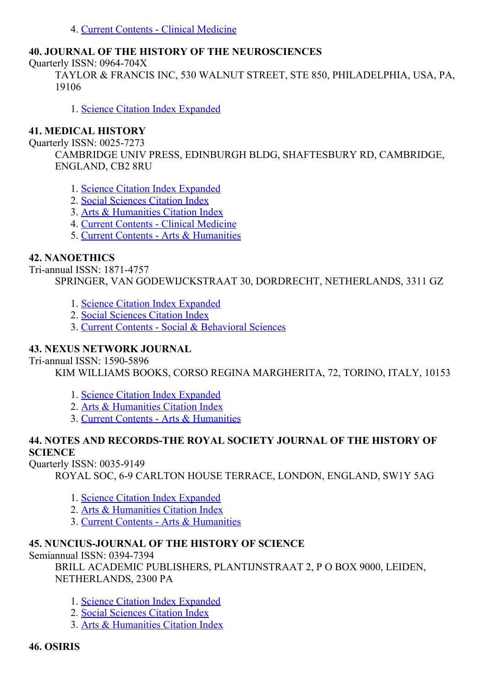4. Current Contents - Clinical [Medicine](http://thomsonreuters.com/current-contents-connect)

## 40. JOURNAL OF THE HISTORY OF THE NEUROSCIENCES

Quarterly ISSN: 0964-704X

TAYLOR & FRANCIS INC, 530 WALNUT STREET, STE 850, PHILADELPHIA, USA, PA, 19106

1. Science Citation Index [Expanded](http://thomsonreuters.com/science-citation-index-expanded)

#### 41. MEDICAL HISTORY

Ouarterly ISSN: 0025-7273

CAMBRIDGE UNIV PRESS, EDINBURGH BLDG, SHAFTESBURY RD, CAMBRIDGE, ENGLAND, CB2 8RU

- 1. Science Citation Index [Expanded](http://thomsonreuters.com/science-citation-index-expanded)
- 2. Social [Sciences](http://thomsonreuters.com/social-sciences-citation-index) Citation Index
- 3. Arts & [Humanities](http://thomsonreuters.com/arts-humanities-citation-index) Citation Index
- 4. Current Contents Clinical [Medicine](http://thomsonreuters.com/current-contents-connect)
- 5. Current Contents Arts & [Humanities](http://thomsonreuters.com/current-contents-connect)

### 42. NANOETHICS

Tri-annual ISSN: 1871-4757 SPRINGER, VAN GODEWIJCKSTRAAT 30, DORDRECHT, NETHERLANDS, 3311 GZ

- 1. Science Citation Index [Expanded](http://thomsonreuters.com/science-citation-index-expanded)
- 2. Social [Sciences](http://thomsonreuters.com/social-sciences-citation-index) Citation Index
- 3. Current Contents Social & [Behavioral](http://thomsonreuters.com/current-contents-connect/) Sciences

#### 43. NEXUS NETWORK JOURNAL

Tri-annual ISSN: 1590-5896

KIM WILLIAMS BOOKS, CORSO REGINA MARGHERITA, 72, TORINO, ITALY, 10153

- 1. Science Citation Index [Expanded](http://thomsonreuters.com/science-citation-index-expanded)
- 2. Arts & [Humanities](http://thomsonreuters.com/arts-humanities-citation-index) Citation Index
- 3. Current Contents Arts & [Humanities](http://thomsonreuters.com/current-contents-connect)

### 44. NOTES AND RECORDS-THE ROYAL SOCIETY JOURNAL OF THE HISTORY OF **SCIENCE**

Quarterly ISSN: 0035-9149

ROYAL SOC, 69 CARLTON HOUSE TERRACE, LONDON, ENGLAND, SW1Y 5AG

- 1. Science Citation Index [Expanded](http://thomsonreuters.com/science-citation-index-expanded)
- 2. Arts & [Humanities](http://thomsonreuters.com/arts-humanities-citation-index) Citation Index
- 3. Current Contents Arts & [Humanities](http://thomsonreuters.com/current-contents-connect)

## 45. NUNCIUS-JOURNAL OF THE HISTORY OF SCIENCE

Semiannual ISSN: 0394-7394

BRILL ACADEMIC PUBLISHERS, PLANTIJNSTRAAT 2, P O BOX 9000, LEIDEN, NETHERLANDS, 2300 PA

- 1. Science Citation Index [Expanded](http://thomsonreuters.com/science-citation-index-expanded)
- 2. Social [Sciences](http://thomsonreuters.com/social-sciences-citation-index) Citation Index
- 3. Arts & [Humanities](http://thomsonreuters.com/arts-humanities-citation-index) Citation Index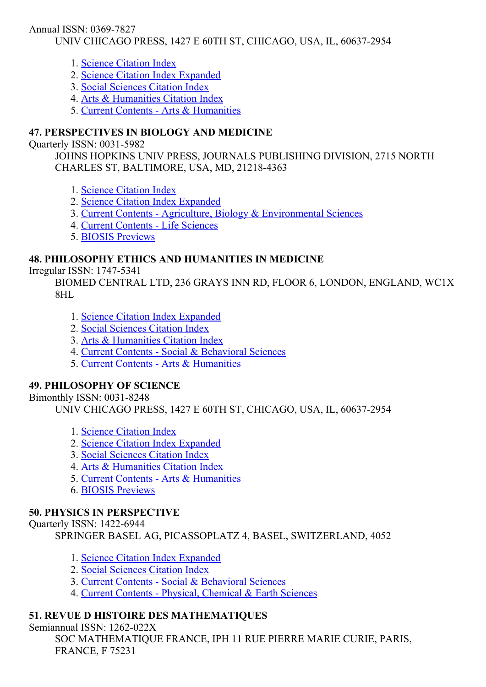Annual ISSN: 0369-7827

UNIV CHICAGO PRESS, 1427 E 60TH ST, CHICAGO, USA, IL, 60637-2954

- 1. Science [Citation](http://thomsonreuters.com/science-citation-index-expanded) Index
- 2. Science Citation Index [Expanded](http://thomsonreuters.com/science-citation-index-expanded)
- 3. Social [Sciences](http://thomsonreuters.com/social-sciences-citation-index) Citation Index
- 4. Arts & [Humanities](http://thomsonreuters.com/arts-humanities-citation-index) Citation Index
- 5. Current Contents Arts & [Humanities](http://thomsonreuters.com/current-contents-connect)

# 47. PERSPECTIVES IN BIOLOGY AND MEDICINE

## Ouarterly ISSN: 0031-5982

JOHNS HOPKINS UNIV PRESS, JOURNALS PUBLISHING DIVISION, 2715 NORTH CHARLES ST, BALTIMORE, USA, MD, 21218-4363

- 1. Science [Citation](http://thomsonreuters.com/science-citation-index-expanded) Index
- 2. Science Citation Index [Expanded](http://thomsonreuters.com/science-citation-index-expanded)
- 3. Current Contents Agriculture, Biology & [Environmental](http://thomsonreuters.com/current-contents-connect/) Sciences
- 4. Current [Contents](http://thomsonreuters.com/current-contents-connect) Life Sciences
- 5. BIOSIS [Previews](http://thomsonreuters.com/biosis-previews)

# 48. PHILOSOPHY ETHICS AND HUMANITIES IN MEDICINE

Irregular ISSN: 17475341

BIOMED CENTRAL LTD, 236 GRAYS INN RD, FLOOR 6, LONDON, ENGLAND, WC1X 8HL

- 1. Science Citation Index [Expanded](http://thomsonreuters.com/science-citation-index-expanded)
- 2. Social [Sciences](http://thomsonreuters.com/social-sciences-citation-index) Citation Index
- 3. Arts & [Humanities](http://thomsonreuters.com/arts-humanities-citation-index) Citation Index
- 4. Current Contents Social & [Behavioral](http://thomsonreuters.com/current-contents-connect/) Sciences
- 5. Current Contents Arts & [Humanities](http://thomsonreuters.com/current-contents-connect)

## 49. PHILOSOPHY OF SCIENCE

Bimonthly ISSN: 0031-8248

UNIV CHICAGO PRESS, 1427 E 60TH ST, CHICAGO, USA, IL, 60637-2954

- 1. Science [Citation](http://thomsonreuters.com/science-citation-index-expanded) Index
- 2. Science Citation Index [Expanded](http://thomsonreuters.com/science-citation-index-expanded)
- 3. Social [Sciences](http://thomsonreuters.com/social-sciences-citation-index) Citation Index
- 4. Arts & [Humanities](http://thomsonreuters.com/arts-humanities-citation-index) Citation Index
- 5. Current Contents Arts & [Humanities](http://thomsonreuters.com/current-contents-connect)
- 6. BIOSIS [Previews](http://thomsonreuters.com/biosis-previews)

# 50. PHYSICS IN PERSPECTIVE

Ouarterly ISSN: 1422-6944

SPRINGER BASEL AG, PICASSOPLATZ 4, BASEL, SWITZERLAND, 4052

- 1. Science Citation Index [Expanded](http://thomsonreuters.com/science-citation-index-expanded)
- 2. Social [Sciences](http://thomsonreuters.com/social-sciences-citation-index) Citation Index
- 3. Current Contents Social & [Behavioral](http://thomsonreuters.com/current-contents-connect/) Sciences
- 4. Current Contents Physical, [Chemical](http://thomsonreuters.com/current-contents-connect) & Earth Sciences

# 51. REVUE D HISTOIRE DES MATHEMATIQUES

## Semiannual ISSN: 1262-022X

SOC MATHEMATIQUE FRANCE, IPH 11 RUE PIERRE MARIE CURIE, PARIS, FRANCE, F 75231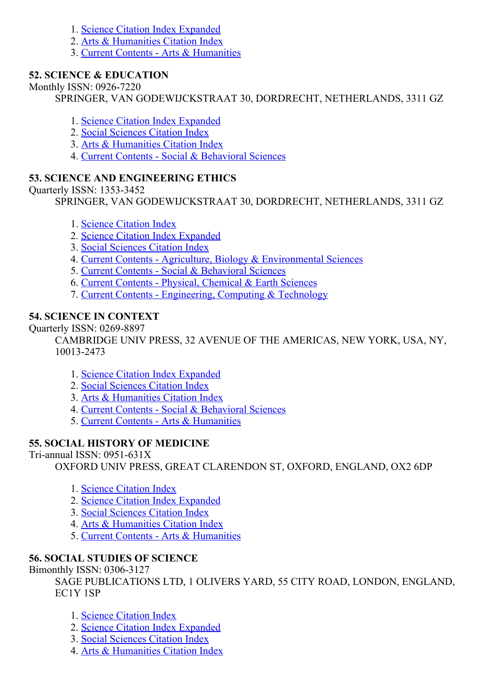- 1. Science Citation Index [Expanded](http://thomsonreuters.com/science-citation-index-expanded)
- 2. Arts & [Humanities](http://thomsonreuters.com/arts-humanities-citation-index) Citation Index
- 3. Current Contents Arts & [Humanities](http://thomsonreuters.com/current-contents-connect)

## 52. SCIENCE & EDUCATION

### Monthly ISSN: 0926-7220

SPRINGER, VAN GODEWIJCKSTRAAT 30, DORDRECHT, NETHERLANDS, 3311 GZ

- 1. Science Citation Index [Expanded](http://thomsonreuters.com/science-citation-index-expanded)
- 2. Social [Sciences](http://thomsonreuters.com/social-sciences-citation-index) Citation Index
- 3. Arts & [Humanities](http://thomsonreuters.com/arts-humanities-citation-index) Citation Index
- 4. Current Contents Social & [Behavioral](http://thomsonreuters.com/current-contents-connect/) Sciences

## 53. SCIENCE AND ENGINEERING ETHICS

## Ouarterly ISSN: 1353-3452

SPRINGER, VAN GODEWIJCKSTRAAT 30, DORDRECHT, NETHERLANDS, 3311 GZ

- 1. Science [Citation](http://thomsonreuters.com/science-citation-index-expanded) Index
- 2. Science Citation Index [Expanded](http://thomsonreuters.com/science-citation-index-expanded)
- 3. Social [Sciences](http://thomsonreuters.com/social-sciences-citation-index) Citation Index
- 4. Current Contents Agriculture, Biology & [Environmental](http://thomsonreuters.com/current-contents-connect/) Sciences
- 5. Current Contents Social & [Behavioral](http://thomsonreuters.com/current-contents-connect/) Sciences
- 6. Current Contents Physical, [Chemical](http://thomsonreuters.com/current-contents-connect) & Earth Sciences
- 7. Current Contents [Engineering,](http://thomsonreuters.com/current-contents-connect) Computing & Technology

## 54. SCIENCE IN CONTEXT

Quarterly ISSN: 0269-8897

CAMBRIDGE UNIV PRESS, 32 AVENUE OF THE AMERICAS, NEW YORK, USA, NY, 100132473

- 1. Science Citation Index [Expanded](http://thomsonreuters.com/science-citation-index-expanded)
- 2. Social [Sciences](http://thomsonreuters.com/social-sciences-citation-index) Citation Index
- 3. Arts & [Humanities](http://thomsonreuters.com/arts-humanities-citation-index) Citation Index
- 4. Current Contents Social & [Behavioral](http://thomsonreuters.com/current-contents-connect/) Sciences
- 5. Current Contents Arts & [Humanities](http://thomsonreuters.com/current-contents-connect)

# 55. SOCIAL HISTORY OF MEDICINE

## Tri-annual ISSN:  $0951-631X$

OXFORD UNIV PRESS, GREAT CLARENDON ST, OXFORD, ENGLAND, OX2 6DP

- 1. Science [Citation](http://thomsonreuters.com/science-citation-index-expanded) Index
- 2. Science Citation Index [Expanded](http://thomsonreuters.com/science-citation-index-expanded)
- 3. Social [Sciences](http://thomsonreuters.com/social-sciences-citation-index) Citation Index
- 4. Arts & [Humanities](http://thomsonreuters.com/arts-humanities-citation-index) Citation Index
- 5. Current Contents Arts & [Humanities](http://thomsonreuters.com/current-contents-connect)

# 56. SOCIAL STUDIES OF SCIENCE

Bimonthly ISSN: 0306-3127

SAGE PUBLICATIONS LTD, 1 OLIVERS YARD, 55 CITY ROAD, LONDON, ENGLAND, EC1Y 1SP

- 1. Science [Citation](http://thomsonreuters.com/science-citation-index-expanded) Index
- 2. Science Citation Index [Expanded](http://thomsonreuters.com/science-citation-index-expanded)
- 3. Social [Sciences](http://thomsonreuters.com/social-sciences-citation-index) Citation Index
- 4. Arts & [Humanities](http://thomsonreuters.com/arts-humanities-citation-index) Citation Index